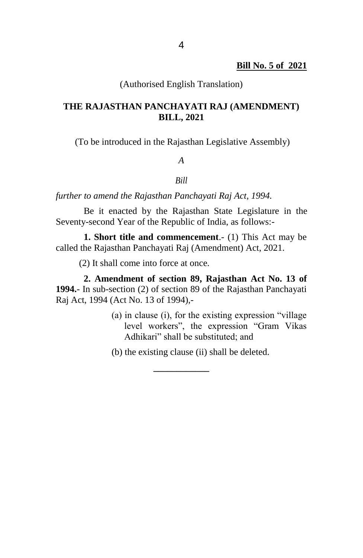#### (Authorised English Translation)

## **THE RAJASTHAN PANCHAYATI RAJ (AMENDMENT) BILL, 2021**

(To be introduced in the Rajasthan Legislative Assembly)

### *A*

#### *Bill*

*further to amend the Rajasthan Panchayati Raj Act, 1994.*

Be it enacted by the Rajasthan State Legislature in the Seventy-second Year of the Republic of India, as follows:-

**1. Short title and commencement**.- (1) This Act may be called the Rajasthan Panchayati Raj (Amendment) Act, 2021.

(2) It shall come into force at once.

**2. Amendment of section 89, Rajasthan Act No. 13 of 1994.**- In sub-section (2) of section 89 of the Rajasthan Panchayati Raj Act, 1994 (Act No. 13 of 1994),-

> (a) in clause (i), for the existing expression "village level workers", the expression "Gram Vikas Adhikari" shall be substituted; and

(b) the existing clause (ii) shall be deleted.

**\_\_\_\_\_\_\_\_\_\_\_\_**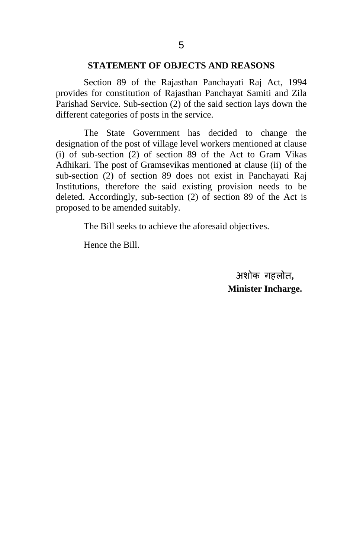#### **STATEMENT OF OBJECTS AND REASONS**

Section 89 of the Rajasthan Panchayati Raj Act, 1994 provides for constitution of Rajasthan Panchayat Samiti and Zila Parishad Service. Sub-section (2) of the said section lays down the different categories of posts in the service.

The State Government has decided to change the designation of the post of village level workers mentioned at clause (i) of sub-section (2) of section 89 of the Act to Gram Vikas Adhikari. The post of Gramsevikas mentioned at clause (ii) of the sub-section (2) of section 89 does not exist in Panchayati Raj Institutions, therefore the said existing provision needs to be deleted. Accordingly, sub-section (2) of section 89 of the Act is proposed to be amended suitably.

The Bill seeks to achieve the aforesaid objectives.

Hence the Bill.

अशोक गहलोत**. Minister Incharge.**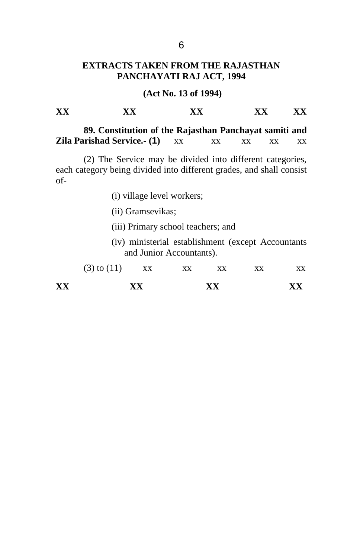## **EXTRACTS TAKEN FROM THE RAJASTHAN PANCHAYATI RAJ ACT, 1994**

## **(Act No. 13 of 1994)**

| $\mathbf{v}$<br>___<br>----<br>$\sim$<br>$\overline{ }$<br>---- |  | __ |
|-----------------------------------------------------------------|--|----|
|-----------------------------------------------------------------|--|----|

**89. Constitution of the Rajasthan Panchayat samiti and Zila Parishad Service.- (1)** xx xx xx xx xx

(2) The Service may be divided into different categories, each category being divided into different grades, and shall consist of-

(i) village level workers;

(ii) Gramsevikas;

(iii) Primary school teachers; and

(iv) ministerial establishment (except Accountants and Junior Accountants).

| XX |                 | xх |    | XX | xх |    |  |
|----|-----------------|----|----|----|----|----|--|
|    | $(3)$ to $(11)$ | XX | xх | xх | xх | XХ |  |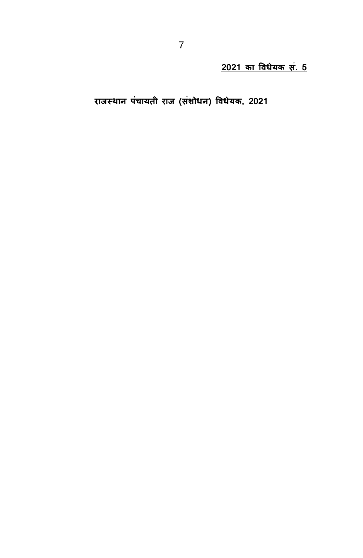राजस्थान पंचायती राज (संशोधन) विधेयक, 2021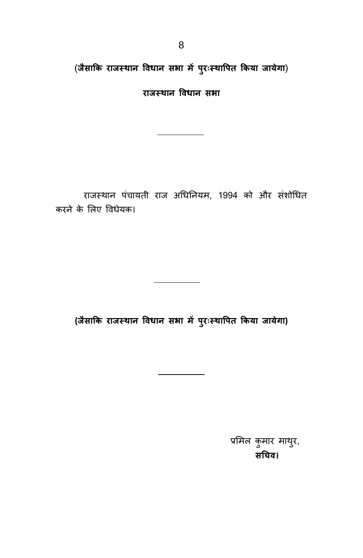(जैसाकि राजस्थान विधान सभा में पुरःस्थापित किया जायेगा)

**राजस् थान प विधान प स ा**

राजस्थान पंचायती राज अधिनियम, 1994 को और संशोधित करने के लिए विधेयक।

**(जैसाकक राजस् थान प विधान प स ा ं पचर:ःस्थावच ककया जाये ा)**

प्रमिल कुमार माथुर, **सनयि।**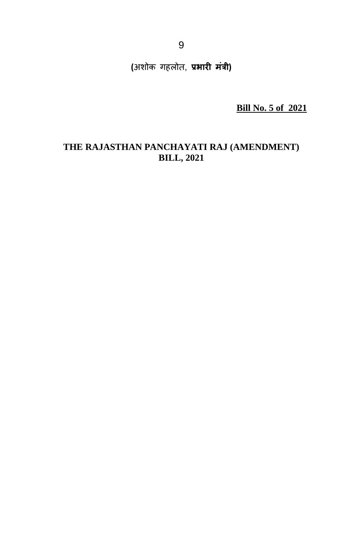**(**अशोक गहलोत, प्रभारी मंत्री)

**Bill No. 5 of 2021**

# **THE RAJASTHAN PANCHAYATI RAJ (AMENDMENT) BILL, 2021**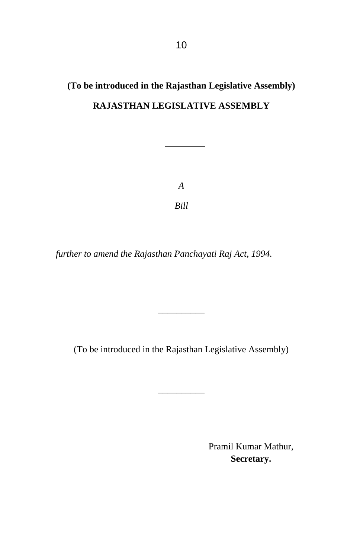# **(To be introduced in the Rajasthan Legislative Assembly) RAJASTHAN LEGISLATIVE ASSEMBLY**

*A Bill*

*further to amend the Rajasthan Panchayati Raj Act, 1994.*

(To be introduced in the Rajasthan Legislative Assembly)

\_\_\_\_\_\_\_\_\_\_

\_\_\_\_\_\_\_\_\_\_

Pramil Kumar Mathur, **Secretary.**